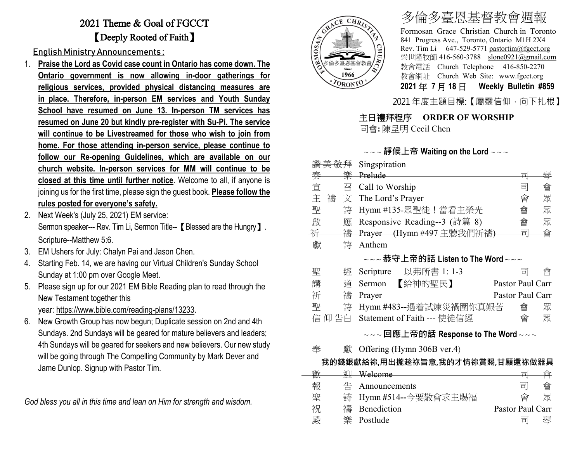# 2021 Theme & Goal of FGCCT 【Deeply Rooted of Faith】

English Ministry Announcements :

- 1. **Praise the Lord as Covid case count in Ontario has come down. The Ontario government is now allowing in-door gatherings for religious services, provided physical distancing measures are in place. Therefore, in-person EM services and Youth Sunday School have resumed on June 13. In-person TM services has resumed on June 20 but kindly pre-register with Su-Pi. The service will continue to be Livestreamed for those who wish to join from home. For those attending in-person service, please continue to follow our Re-opening Guidelines, which are available on our church website. In-person services for MM will continue to be closed at this time until further notice**. Welcome to all, if anyone is joining us for the first time, please sign the guest book. **Please follow the rules posted for everyone's safety.**
- 2. Next Week's (July 25, 2021) EM service: Sermon speaker--- Rev. Tim Li, Sermon Title-- 【Blessed are the Hungry】. Scripture--Matthew 5:6.
- 3. EM Ushers for July: Chalyn Pai and Jason Chen.
- 4. Starting Feb. 14, we are having our Virtual Children's Sunday School Sunday at 1:00 pm over Google Meet.
- 5. Please sign up for our 2021 EM Bible Reading plan to read through the New Testament together this year: [https://www.bible.com/reading-plans/13233.](https://www.bible.com/reading-plans/13233)
- 6. New Growth Group has now begun; Duplicate session on 2nd and 4th Sundays. 2nd Sundays will be geared for mature believers and leaders; 4th Sundays will be geared for seekers and new believers. Our new study will be going through The Compelling Community by Mark Dever and Jame Dunlop. Signup with Pastor Tim.

*God bless you all in this time and lean on Him for strength and wisdom.*



# 多倫多臺恩基督教會週報

Formosan Grace Christian Church in Toronto 841 Progress Ave., Toronto, Ontario M1H 2X4 Rev. Tim Li 647-529-5771 [pastortim@fgcct.org](mailto:pastortim@fgcct.org) 梁世隆牧師 416-560-3788 slone0921@gmail.com 教會電話 Church Telephone 416-850-2270 教會網址 Church Web Site: www.fgcct.org **2021** 年 **7** 月 **18** 日 **Weekly Bulletin #859** 

2021 年度主題目標:【屬靈信仰,向下扎根】

## 主日禮拜程序 **ORDER OF WORSHIP**

司會**:** 陳呈明 Cecil Chen

#### ~ ~ ~ **靜候上帝 Waiting on the Lord** ~ ~ ~

|        |     |   | 讚美敬拜 Singspiration                                                                                                                    |   |   |  |  |  |
|--------|-----|---|---------------------------------------------------------------------------------------------------------------------------------------|---|---|--|--|--|
| 奏      |     |   | 樂 Prelude                                                                                                                             | 큭 | 琴 |  |  |  |
| 宣      |     |   | 召 Call to Worship                                                                                                                     | 킈 | 會 |  |  |  |
| 主      | 禱 文 |   | The Lord's Prayer                                                                                                                     | 會 | 眾 |  |  |  |
| 聖      |     | 詩 | Hymn #135-眾聖徒!當看主榮光                                                                                                                   | 會 | 眾 |  |  |  |
| 啟      |     | 應 | Responsive Reading--3 (詩篇 8)                                                                                                          | 會 | 眾 |  |  |  |
| 并      |     | 禱 | Prayer (Hymn #497 主聽我們祈禱)                                                                                                             | 킈 | 會 |  |  |  |
| 獻      |     | 詩 | Anthem                                                                                                                                |   |   |  |  |  |
|        |     |   | $\scriptstyle\mathtt{\sim}\mathtt{\sim}\mathtt{\sim}$ 恭守上帝的話 Listen to The Word $\scriptstyle\mathtt{\sim}\mathtt{\sim}\mathtt{\sim}$ |   |   |  |  |  |
| 聖      |     | 經 | Scripture 以弗所書 1: 1-3                                                                                                                 | 하 | 曾 |  |  |  |
| 講      |     | 渞 | Sermon 【給神的聖民】<br>Pastor Paul Carr                                                                                                    |   |   |  |  |  |
| 祈      |     | 禱 | Pastor Paul Carr<br>Prayer                                                                                                            |   |   |  |  |  |
| 聖      |     | 詩 | Hymn #483--遇着試煉災禍圍你真艱苦                                                                                                                | 會 | 眾 |  |  |  |
| 信 仰 告白 |     |   | Statement of Faith --- 使徒信經                                                                                                           | 會 | 眾 |  |  |  |
|        |     |   |                                                                                                                                       |   |   |  |  |  |

#### ~ ~ ~ **回應上帝的話 Response to The Word** ~ ~ ~

奉 獻 Offering (Hymn 306B ver.4)

## **我的錢銀獻給祢,用出攏趁祢旨意,我的才情祢賞賜,甘願還祢做器具**

| 电 |                       |                  |   |
|---|-----------------------|------------------|---|
| 報 | Announcements         | 豆                | 曾 |
| 聖 | 詩 Hymn #514--今要散會求主賜福 | 酋                |   |
| 祝 | 禱 Benediction         | Pastor Paul Carr |   |
| 殿 | 樂 Postlude            | 급                | 琴 |